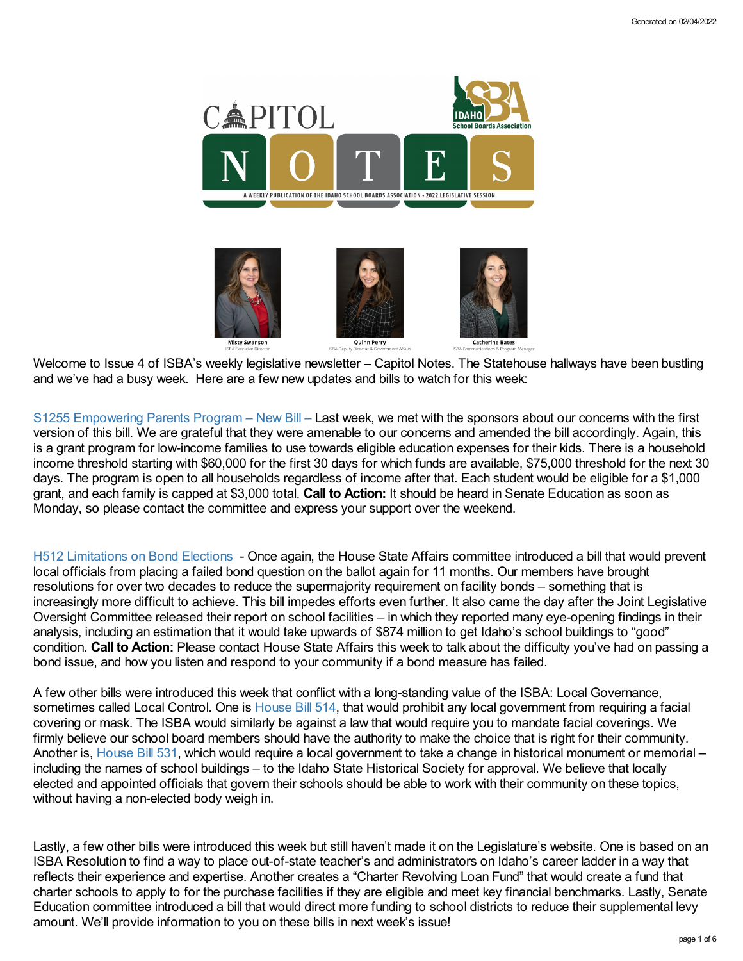

Welcome to Issue 4 of ISBA's weekly legislative newsletter – Capitol Notes. The Statehouse hallways have been bustling and we've had a busy week. Here are a few new updates and bills to watch for this week:

S1255 [Empowering](https://legislature.idaho.gov/sessioninfo/2022/legislation/S1255/) Parents Program – New Bill – Last week, we met with the sponsors about our concerns with the first version of this bill. We are grateful that they were amenable to our concerns and amended the bill accordingly. Again, this is a grant program for low-income families to use towards eligible education expenses for their kids. There is a household income threshold starting with \$60,000 for the first 30 days for which funds are available, \$75,000 threshold for the next 30 days. The program is open to all households regardless of income after that. Each student would be eligible for a \$1,000 grant, and each family is capped at \$3,000 total. **Call to Action:** It should be heard in Senate Education as soon as Monday, so please contact the committee and express your support over the weekend.

H512 [Limitations](https://legislature.idaho.gov/sessioninfo/2022/legislation/H0512/) on Bond Elections - Once again, the House State Affairs committee introduced a bill that would prevent local officials from placing a failed bond question on the ballot again for 11 months. Our members have brought resolutions for over two decades to reduce the supermajority requirement on facility bonds – something that is increasingly more difficult to achieve. This bill impedes efforts even further. It also came the day after the Joint Legislative Oversight Committee released their report on school facilities – in which they reported many eye-opening findings in their analysis, including an estimation that it would take upwards of \$874 million to get Idaho's school buildings to "good" condition. **Call to Action:** Please contact House State Affairs this week to talk about the difficulty you've had on passing a bond issue, and how you listen and respond to your community if a bond measure has failed.

A few other bills were introduced this week that conflict with a long-standing value of the ISBA: Local Governance, sometimes called Local Control. One is [House](https://legislature.idaho.gov/sessioninfo/2022/legislation/H0514/) Bill 514, that would prohibit any local government from requiring a facial covering or mask. The ISBA would similarly be against a law that would require you to mandate facial coverings. We firmly believe our school board members should have the authority to make the choice that is right for their community. Another is, [House](https://legislature.idaho.gov/sessioninfo/2022/legislation/H0531/) Bill 531, which would require a local government to take a change in historical monument or memorial – including the names of school buildings – to the Idaho State Historical Society for approval. We believe that locally elected and appointed officials that govern their schools should be able to work with their community on these topics, without having a non-elected body weigh in.

Lastly, a few other bills were introduced this week but still haven't made it on the Legislature's website. One is based on an ISBA Resolution to find a way to place out-of-state teacher's and administrators on Idaho's career ladder in a way that reflects their experience and expertise. Another creates a "Charter Revolving Loan Fund" that would create a fund that charter schools to apply to for the purchase facilities if they are eligible and meet key financial benchmarks. Lastly, Senate Education committee introduced a bill that would direct more funding to school districts to reduce their supplemental levy amount. We'll provide information to you on these bills in next week's issue!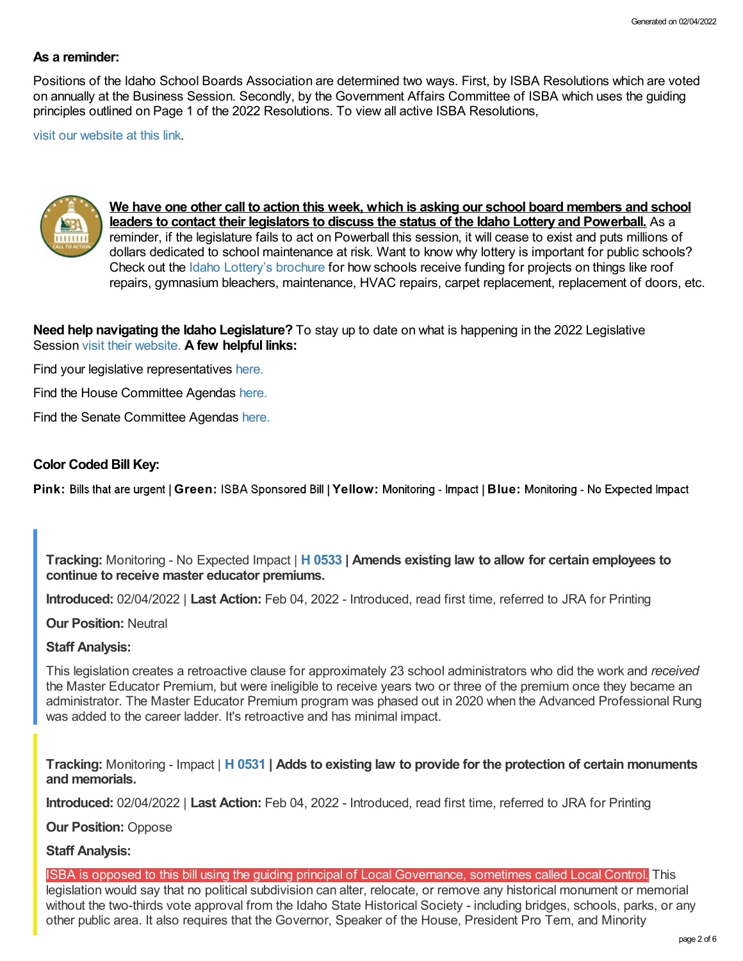### **As a reminder:**

Positions of the Idaho School Boards Association are determined two ways. First, by ISBA Resolutions which are voted on annually at the Business Session. Secondly, by the Government Affairs Committee of ISBA which uses the guiding principles outlined on Page 1 of the 2022 Resolutions. To view all active ISBA Resolutions,

visit our [website](https://www.idsba.org/member-services/advocacy/resolutions/) at this link.



**We have one other call to action this week, which is asking our school board members and school leaders to contact their legislators to discuss the status of the Idaho Lottery and Powerball.** As a reminder, if the legislature fails to act on Powerball this session, it will cease to exist and puts millions of dollars dedicated to school maintenance at risk. Want to know why lottery is important for public schools? Check out the Idaho Lottery's [brochure](https://issuu.com/idaholottery/docs/wherethemoneygoes_2021_1) for how schools receive funding for projects on things like roof repairs, gymnasium bleachers, maintenance, HVAC repairs, carpet replacement, replacement of doors, etc.

**Need help navigating the Idaho Legislature?** To stay up to date on what is happening in the 2022 Legislative Session visit their [website.](https://legislature.idaho.gov/legislators/whosmylegislator/) **A few helpful links:**

Find your legislative representatives [here.](https://legislature.idaho.gov/legislators/whosmylegislator/)

Find the House Committee Agendas [here.](https://legislature.idaho.gov/sessioninfo/agenda/hagenda/)

Find the Senate Committee Agendas [here.](https://legislature.idaho.gov/sessioninfo/agenda/sagenda/)

### **Color Coded Bill Key:**

**Pink:** Bills that are urgent | Green: ISBA Sponsored Bill | Yellow: Monitoring - Impact | Blue: Monitoring - No Expected Impact

**Tracking:** Monitoring - No Expected Impact | **H [0533](https://legislature.idaho.gov/sessioninfo/2022/legislation/H0533/) | Amends existing law to allow for certain employees to continue to receive master educator premiums.**

**Introduced:** 02/04/2022 | **Last Action:** Feb 04, 2022 - Introduced, read first time, referred to JRA for Printing

**Our Position:** Neutral

#### **Staff Analysis:**

This legislation creates a retroactive clause for approximately 23 school administrators who did the work and *received* the Master Educator Premium, but were ineligible to receive years two or three of the premium once they became an administrator. The Master Educator Premium program was phased out in 2020 when the Advanced Professional Rung was added to the career ladder. It's retroactive and has minimal impact.

**Tracking:** Monitoring - Impact | **H [0531](https://legislature.idaho.gov/sessioninfo/2022/legislation/H0531/) | Adds to existing law to provide for the protection of certain monuments and memorials.**

**Introduced:** 02/04/2022 | **Last Action:** Feb 04, 2022 - Introduced, read first time, referred to JRA for Printing

**Our Position:** Oppose

**Staff Analysis:**

ISBA is opposed to this bill using the guiding principal of Local Governance, sometimes called Local Control. This legislation would say that no political subdivision can alter, relocate, or remove any historical monument or memorial without the two-thirds vote approval from the Idaho State Historical Society - including bridges, schools, parks, or any other public area. It also requires that the Governor, Speaker of the House, President Pro Tem, and Minority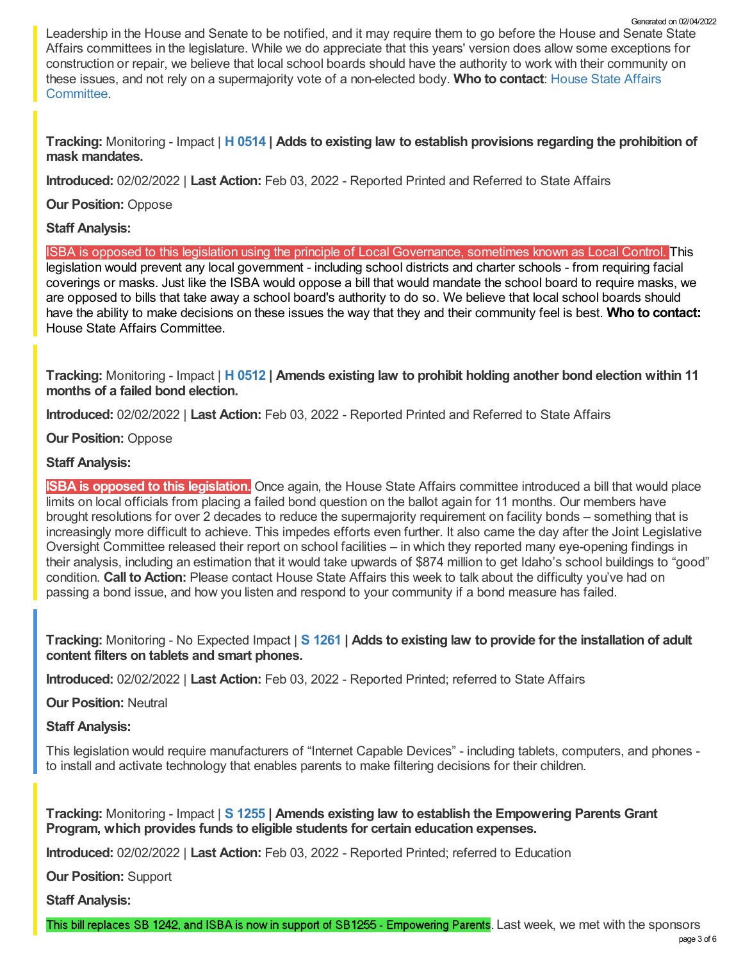Leadership in the House and Senate to be notified, and it may require them to go before the House and Senate State Affairs committees in the legislature. While we do appreciate that this years' version does allow some exceptions for construction or repair, we believe that local school boards should have the authority to work with their community on these issues, and not rely on a [supermajority](https://legislature.idaho.gov/sessioninfo/2022/standingcommittees/HSTA/) vote of a non-elected body. **Who to contact**: House State Affairs Committee. Generated on 02/04/2022

**Tracking:** Monitoring - Impact | **H [0514](https://legislature.idaho.gov/sessioninfo/2022/legislation/H0514/) | Adds to existing law to establish provisions regarding the prohibition of mask mandates.**

**Introduced:** 02/02/2022 | **Last Action:** Feb 03, 2022 - Reported Printed and Referred to State Affairs

**Our Position:** Oppose

### **Staff Analysis:**

ISBA is opposed to this legislation using the principle of Local Governance, sometimes known as Local Control. This legislation would prevent any local government - including school districts and charter schools - from requiring facial coverings or masks. Just like the ISBA would oppose a bill that would mandate the school board to require masks, we are opposed to bills that take away a school board's authority to do so. We believe that local school boards should have the ability to make decisions on these issues the way that they and their community feel is best. **Who to contact:** House State Affairs [Committee.](https://legislature.idaho.gov/sessioninfo/2022/standingcommittees/HSTA/)

**Tracking:** Monitoring - Impact | **H [0512](https://legislature.idaho.gov/sessioninfo/2022/legislation/H0512/) | Amends existing law to prohibit holding another bond election within 11 months of a failed bond election.**

**Introduced:** 02/02/2022 | **Last Action:** Feb 03, 2022 - Reported Printed and Referred to State Affairs

**Our Position:** Oppose

## **Staff Analysis:**

**ISBA is opposed to this legislation.** Once again, the House State Affairs committee introduced a bill that would place limits on local officials from placing a failed bond question on the ballot again for 11 months. Our members have brought resolutions for over 2 decades to reduce the supermajority requirement on facility bonds – something that is increasingly more difficult to achieve. This impedes efforts even further. It also came the day after the Joint Legislative Oversight Committee released their report on school facilities – in which they reported many eye-opening findings in their analysis, including an estimation that it would take upwards of \$874 million to get Idaho's school buildings to "good" condition. **Call to Action:** Please contact House State Affairs this week to talk about the difficulty you've had on passing a bond issue, and how you listen and respond to your community if a bond measure has failed.

**Tracking:** Monitoring - No Expected Impact | **S [1261](https://legislature.idaho.gov/sessioninfo/2022/legislation/S1261/) | Adds to existing law to provide for the installation of adult content filters on tablets and smart phones.**

**Introduced:** 02/02/2022 | **Last Action:** Feb 03, 2022 - Reported Printed; referred to State Affairs

**Our Position:** Neutral

**Staff Analysis:**

This legislation would require manufacturers of "Internet Capable Devices" - including tablets, computers, and phones to install and activate technology that enables parents to make filtering decisions for their children.

**Tracking:** Monitoring - Impact | **S [1255](https://legislature.idaho.gov/sessioninfo/2022/legislation/S1255/) | Amends existing law to establish the Empowering Parents Grant Program, which provides funds to eligible students for certain education expenses.**

**Introduced:** 02/02/2022 | **Last Action:** Feb 03, 2022 - Reported Printed; referred to Education

**Our Position:** Support

**Staff Analysis:**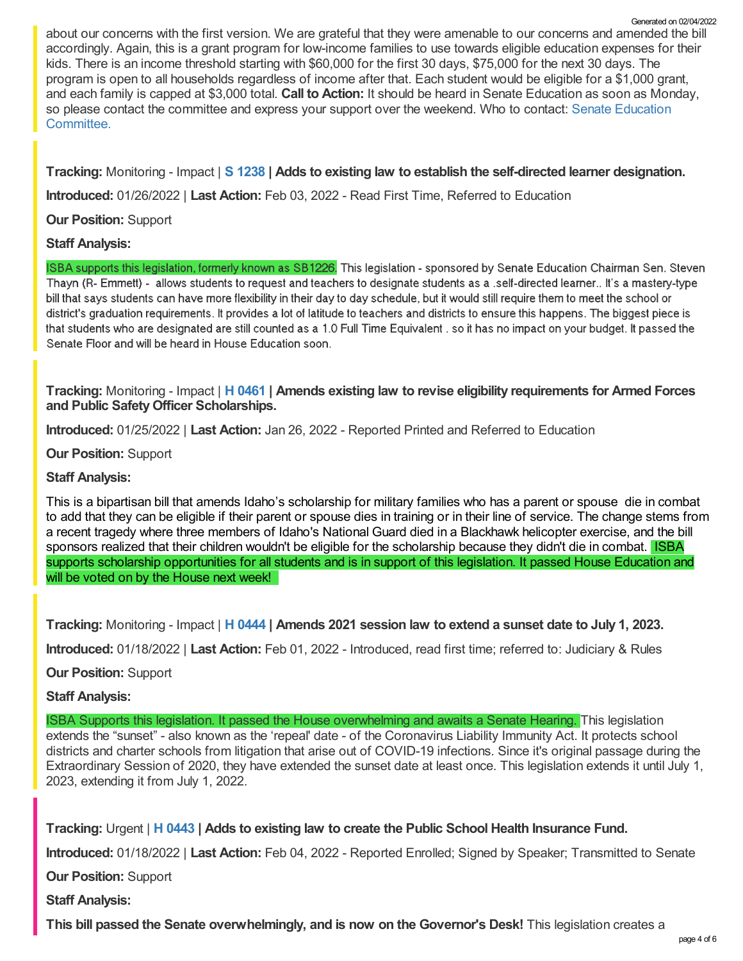about our concerns with the first version. We are grateful that they were amenable to our concerns and amended the bill accordingly. Again, this is a grant program for low-income families to use towards eligible education expenses for their kids. There is an income threshold starting with \$60,000 for the first 30 days, \$75,000 for the next 30 days. The program is open to all households regardless of income after that. Each student would be eligible for a \$1,000 grant, and each family is capped at \$3,000 total. **Call to Action:** It should be heard in Senate Education as soon as Monday, so please contact the committee and express your support over the weekend. Who to contact: Senate Education [Committee.](https://legislature.idaho.gov/sessioninfo/2022/standingcommittees/SEDU/) Generated on 02/04/2022

**Tracking:** Monitoring - Impact | **S [1238](https://legislature.idaho.gov/sessioninfo/2022/legislation/S1238/) | Adds to existing law to establish the self-directed learner designation.**

**Introduced:** 01/26/2022 | **Last Action:** Feb 03, 2022 - Read First Time, Referred to Education

# **Our Position:** Support

# **Staff Analysis:**

ISBA supports this legislation, formerly known as SB1226. This legislation - sponsored by Senate Education Chairman Sen. Steven Thayn (R- Emmett) - allows students to request and teachers to designate students as a .self-directed learner.. It's a mastery-type bill that says students can have more flexibility in their day to day schedule, but it would still require them to meet the school or district's graduation requirements. It provides a lot of latitude to teachers and districts to ensure this happens. The biggest piece is that students who are designated are still counted as a 1.0 Full Time Equivalent, so it has no impact on your budget. It passed the Senate Floor and will be heard in House Education soon.

**Tracking:** Monitoring - Impact | **H [0461](https://legislature.idaho.gov/sessioninfo/2022/legislation/H0461/) | Amends existing law to revise eligibility requirements for Armed Forces and Public SafetyOfficer Scholarships.**

**Introduced:** 01/25/2022 | **Last Action:** Jan 26, 2022 - Reported Printed and Referred to Education

**Our Position:** Support

## **Staff Analysis:**

This is a bipartisan bill that amends Idaho's scholarship for military families who has a parent or spouse die in combat to add that they can be eligible if their parent or spouse dies in training or in their line of service. The change stems from a recent tragedy where three members of Idaho's National Guard died in a Blackhawk helicopter exercise, and the bill sponsors realized that their children wouldn't be eligible for the scholarship because they didn't die in combat. ISBA supports scholarship opportunities for all students and is in support of this legislation. It passed House Education and will be voted on by the House next week!

**Tracking:** Monitoring - Impact | **H [0444](https://legislature.idaho.gov/sessioninfo/2022/legislation/H0444/) | Amends 2021 session law to extend a sunset date to July 1, 2023.**

**Introduced:** 01/18/2022 | **Last Action:** Feb 01, 2022 - Introduced, read first time; referred to: Judiciary & Rules

**Our Position:** Support

### **Staff Analysis:**

ISBA Supports this legislation. It passed the House overwhelming and awaits a Senate Hearing. This legislation extends the "sunset" - also known as the 'repeal' date - of the Coronavirus Liability Immunity Act. It protects school districts and charter schools from litigation that arise out of COVID-19 infections. Since it's original passage during the Extraordinary Session of 2020, they have extended the sunset date at least once. This legislation extends it until July 1, 2023, extending it from July 1, 2022.

**Tracking:** Urgent | **H [0443](https://legislature.idaho.gov/sessioninfo/2022/legislation/H0443/) | Adds to existing law to create the Public School Health Insurance Fund.**

**Introduced:** 01/18/2022 | **Last Action:** Feb 04, 2022 - Reported Enrolled; Signed by Speaker; Transmitted to Senate

**Our Position:** Support

**Staff Analysis:**

**This bill passed the Senate overwhelmingly, and is now on the Governor's Desk!** This legislation creates a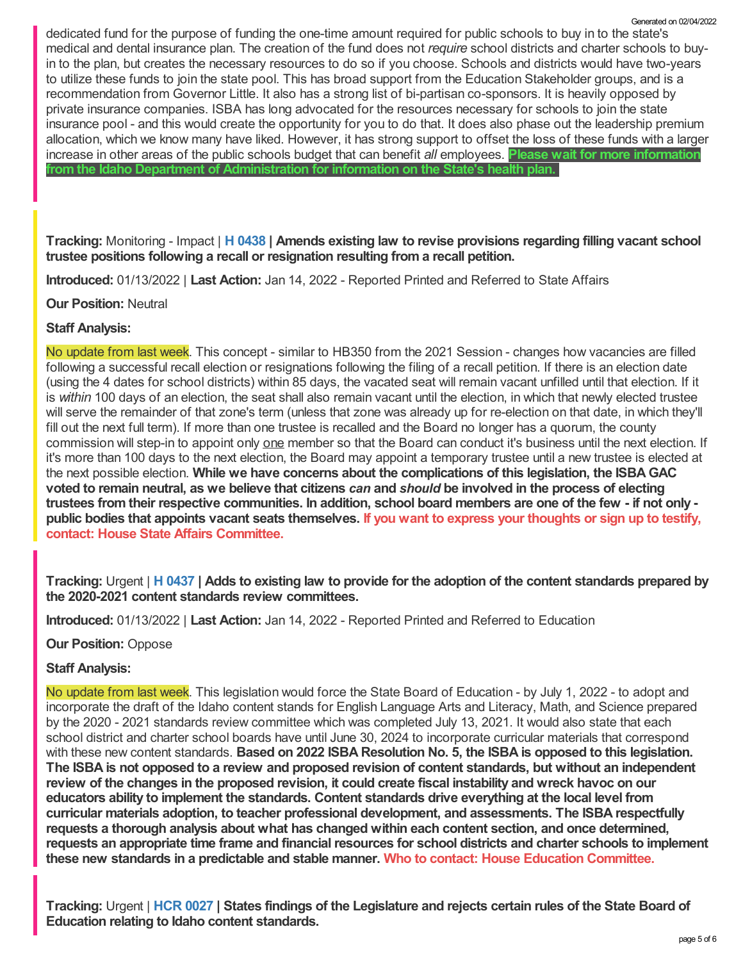dedicated fund for the purpose of funding the one-time amount required for public schools to buy in to the state's medical and dental insurance plan. The creation of the fund does not *require* school districts and charter schools to buyin to the plan, but creates the necessary resources to do so if you choose. Schools and districts would have two-years to utilize these funds to join the state pool. This has broad support from the Education Stakeholder groups, and is a recommendation from Governor Little. It also has a strong list of bi-partisan co-sponsors. It is heavily opposed by private insurance companies. ISBA has long advocated for the resources necessary for schools to join the state insurance pool - and this would create the opportunity for you to do that. It does also phase out the leadership premium allocation, which we know many have liked. However, it has strong support to offset the loss of these funds with a larger increase in other areas of the public schools budget that can benefit *all* employees. **Please wait for more information from the Idaho Department of Administration for information on the State's health plan.** Generated on 02/04/2022

**Tracking:** Monitoring - Impact | **H [0438](https://legislature.idaho.gov/sessioninfo/2022/legislation/H0438/) | Amends existing law to revise provisions regarding filling vacant school trustee positions following a recall or resignation resulting from a recall petition.**

**Introduced:** 01/13/2022 | **Last Action:** Jan 14, 2022 - Reported Printed and Referred to State Affairs

**Our Position:** Neutral

# **Staff Analysis:**

No update from last week. This concept - similar to HB350 from the 2021 Session - changes how vacancies are filled following a successful recall election or resignations following the filing of a recall petition. If there is an election date (using the 4 dates for school districts) within 85 days, the vacated seat will remain vacant unfilled until that election. If it is *within* 100 days of an election, the seat shall also remain vacant until the election, in which that newly elected trustee will serve the remainder of that zone's term (unless that zone was already up for re-election on that date, in which they'll fill out the next full term). If more than one trustee is recalled and the Board no longer has a quorum, the county commission will step-in to appoint only one member so that the Board can conduct it's business until the next election. If it's more than 100 days to the next election, the Board may appoint a temporary trustee until a new trustee is elected at the next possible election. **While we have concerns about the complications of this legislation, the ISBAGAC** voted to remain neutral, as we believe that citizens can and should be involved in the process of electing trustees from their respective communities. In addition, school board members are one of the few - if not only public bodies that appoints vacant seats themselves. If you want to express your thoughts or sign up to testify, **contact: House State Affairs [Committee.](https://legislature.idaho.gov/sessioninfo/2022/standingcommittees/HSTA/)**

Tracking: Urgent | H [0437](https://legislature.idaho.gov/sessioninfo/2022/legislation/H0437/) | Adds to existing law to provide for the adoption of the content standards prepared by **the 2020-2021 content standards review committees.**

**Introduced:** 01/13/2022 | **Last Action:** Jan 14, 2022 - Reported Printed and Referred to Education

**Our Position:** Oppose

# **Staff Analysis:**

No update from last week. This legislation would force the State Board of Education - by July 1, 2022 - to adopt and incorporate the draft of the Idaho content stands for English Language Arts and Literacy, Math, and Science prepared by the 2020 - 2021 standards review committee which was completed July 13, 2021. It would also state that each school district and charter school boards have until June 30, 2024 to incorporate curricular materials that correspond with these new content standards. **Based on 2022 ISBA Resolution No. 5, the ISBA is opposed to this legislation.** The ISBA is not opposed to a review and proposed revision of content standards, but without an independent review of the changes in the proposed revision, it could create fiscal instability and wreck havoc on our **educators ability to implement the standards. Content standards drive everything at the local level from curricular materials adoption, to teacher professional development, and assessments. The ISBA respectfully requests a thorough analysis about what has changed within each content section, and once determined, requests an appropriate time frame and financial resources for school districts and charter schools to implement these new standards in a predictable and stable manner. Who to contact: House Education [Committee.](https://legislature.idaho.gov/sessioninfo/2022/standingcommittees/HEDU/)**

Tracking: Urgent | HCR [0027](https://legislature.idaho.gov/sessioninfo/2022/legislation/HCR027/) | States findings of the Legislature and rejects certain rules of the State Board of **Education relating to Idaho content standards.**